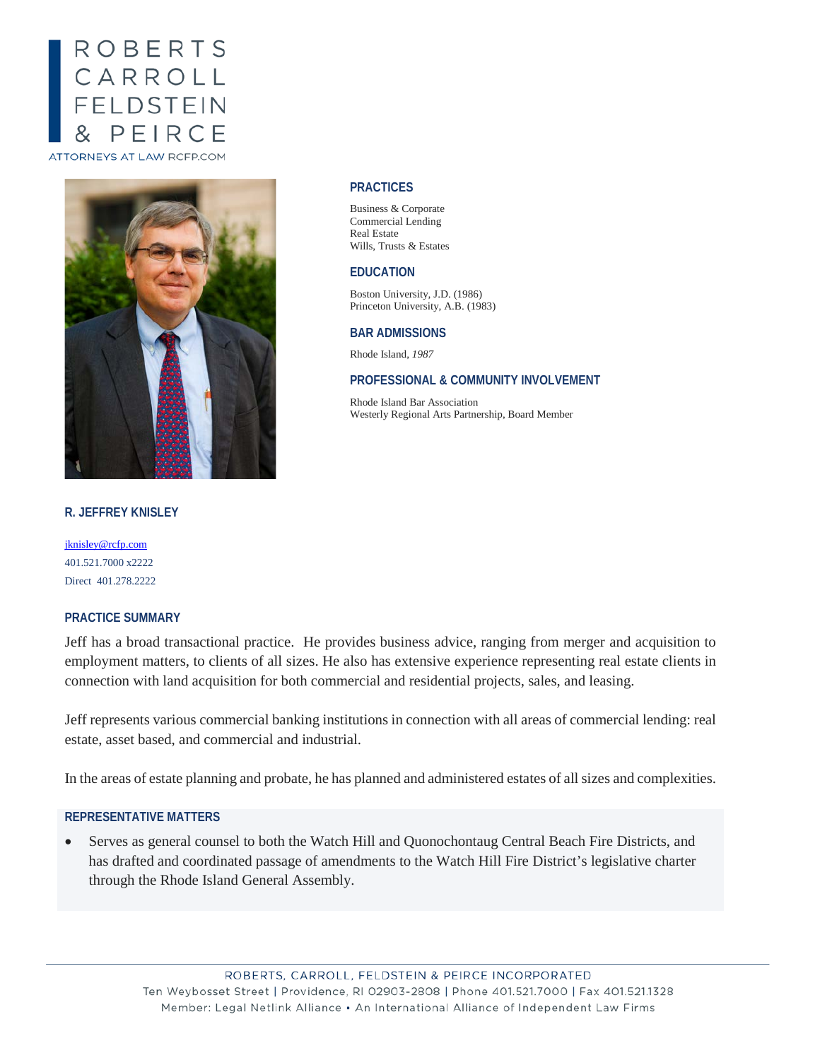# ROBERTS CARROLL<br>FELDSTEIN PEIRCE **ATTORNEYS AT LAW RCFP.COM**

# **R. JEFFREY KNISLEY**

[jknisley@rcfp.com](mailto:jknisley@rcfp.com) 401.521.7000 x2222 Direct 401.278.2222

# **PRACTICE SUMMARY**

Jeff has a broad transactional practice. He provides business advice, ranging from merger and acquisition to employment matters, to clients of all sizes. He also has extensive experience representing real estate clients in connection with land acquisition for both commercial and residential projects, sales, and leasing.

Jeff represents various commercial banking institutions in connection with all areas of commercial lending: real estate, asset based, and commercial and industrial.

In the areas of estate planning and probate, he has planned and administered estates of all sizes and complexities.

# **REPRESENTATIVE MATTERS**

• Serves as general counsel to both the Watch Hill and Quonochontaug Central Beach Fire Districts, and has drafted and coordinated passage of amendments to the Watch Hill Fire District's legislative charter through the Rhode Island General Assembly.

#### **PRACTICES**

Business & Corporate Commercial Lending Real Estate Wills, Trusts & Estates

# **EDUCATION**

Boston University, J.D. (1986) Princeton University, A.B. (1983)

### **BAR ADMISSIONS**

Rhode Island, *1987*

#### **PROFESSIONAL & COMMUNITY INVOLVEMENT**

Rhode Island Bar Association Westerly Regional Arts Partnership, Board Member